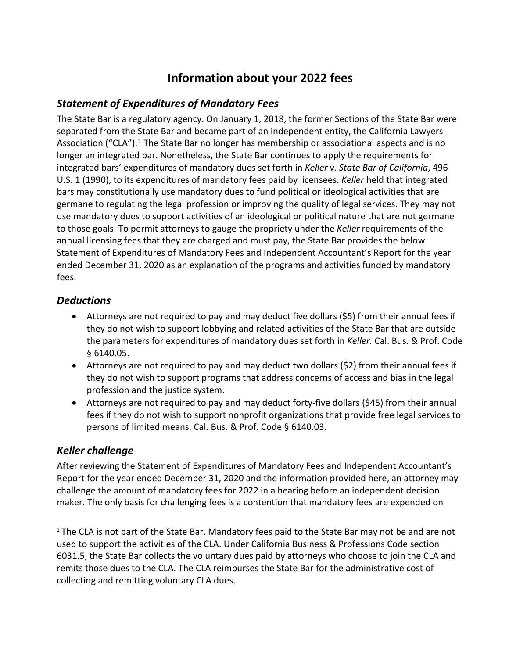# **Information about your 2022 fees**

# *Statement of Expenditures of Mandatory Fees*

The State Bar is a regulatory agency. On January 1, 2018, the former Sections of the State Bar were separated from the State Bar and became part of an independent entity, the California Lawyers Association ("CLA").<sup>1</sup> The State Bar no longer has membership or associational aspects and is no longer an integrated bar. Nonetheless, the State Bar continues to apply the requirements for integrated bars' expenditures of mandatory dues set forth in *Keller v. State Bar of California*, 496 U.S. 1 (1990), to its expenditures of mandatory fees paid by licensees. *Keller* held that integrated bars may constitutionally use mandatory dues to fund political or ideological activities that are germane to regulating the legal profession or improving the quality of legal services. They may not use mandatory dues to support activities of an ideological or political nature that are not germane to those goals. To permit attorneys to gauge the propriety under the *Keller* requirements of the annual licensing fees that they are charged and must pay, the State Bar provides the below Statement of Expenditures of Mandatory Fees and Independent Accountant's Report for the year ended December 31, 2020 as an explanation of the programs and activities funded by mandatory fees.

# *Deductions*

- Attorneys are not required to pay and may deduct five dollars (\$5) from their annual fees if they do not wish to support lobbying and related activities of the State Bar that are outside the parameters for expenditures of mandatory dues set forth in *Keller.* Cal. Bus. & Prof. Code § 6140.05.
- Attorneys are not required to pay and may deduct two dollars (\$2) from their annual fees if they do not wish to support programs that address concerns of access and bias in the legal profession and the justice system.
- Attorneys are not required to pay and may deduct forty-five dollars (\$45) from their annual fees if they do not wish to support nonprofit organizations that provide free legal services to persons of limited means. Cal. Bus. & Prof. Code § 6140.03.

# *Keller challenge*

After reviewing the Statement of Expenditures of Mandatory Fees and Independent Accountant's Report for the year ended December 31, 2020 and the information provided here, an attorney may challenge the amount of mandatory fees for 2022 in a hearing before an independent decision maker. The only basis for challenging fees is a contention that mandatory fees are expended on

<sup>&</sup>lt;sup>1</sup> The CLA is not part of the State Bar. Mandatory fees paid to the State Bar may not be and are not used to support the activities of the CLA. Under California Business & Professions Code section 6031.5, the State Bar collects the voluntary dues paid by attorneys who choose to join the CLA and remits those dues to the CLA. The CLA reimburses the State Bar for the administrative cost of collecting and remitting voluntary CLA dues.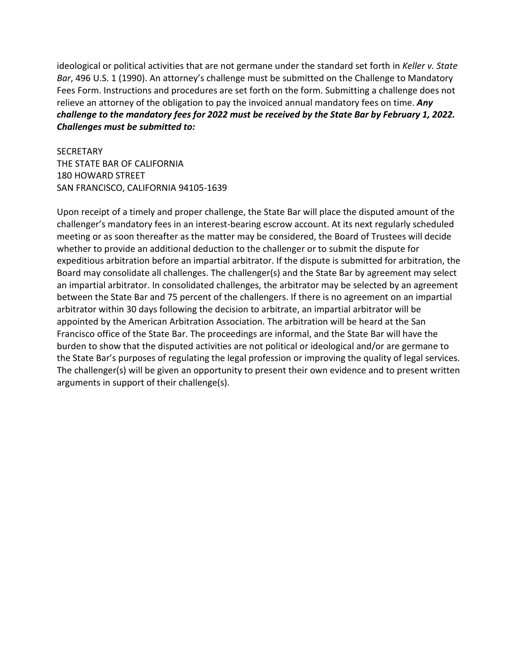ideological or political activities that are not germane under the standard set forth in *Keller v. State Bar*, 496 U.S. 1 (1990). An attorney's challenge must be submitted on the Challenge to Mandatory Fees Form. Instructions and procedures are set forth on the form. Submitting a challenge does not relieve an attorney of the obligation to pay the invoiced annual mandatory fees on time. *Any challenge to the mandatory fees for 2022 must be received by the State Bar by February 1, 2022. Challenges must be submitted to:* 

**SECRETARY** THE STATE BAR OF CALIFORNIA 180 HOWARD STREET SAN FRANCISCO, CALIFORNIA 94105-1639

Upon receipt of a timely and proper challenge, the State Bar will place the disputed amount of the challenger's mandatory fees in an interest-bearing escrow account. At its next regularly scheduled meeting or as soon thereafter as the matter may be considered, the Board of Trustees will decide whether to provide an additional deduction to the challenger or to submit the dispute for expeditious arbitration before an impartial arbitrator. If the dispute is submitted for arbitration, the Board may consolidate all challenges. The challenger(s) and the State Bar by agreement may select an impartial arbitrator. In consolidated challenges, the arbitrator may be selected by an agreement between the State Bar and 75 percent of the challengers. If there is no agreement on an impartial arbitrator within 30 days following the decision to arbitrate, an impartial arbitrator will be appointed by the American Arbitration Association. The arbitration will be heard at the San Francisco office of the State Bar. The proceedings are informal, and the State Bar will have the burden to show that the disputed activities are not political or ideological and/or are germane to the State Bar's purposes of regulating the legal profession or improving the quality of legal services. The challenger(s) will be given an opportunity to present their own evidence and to present written arguments in support of their challenge(s).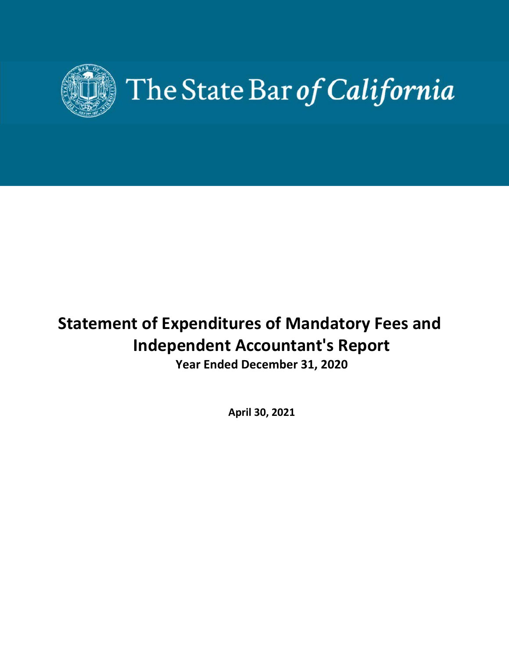

# **Statement of Expenditures of Mandatory Fees and Independent Accountant's Report**

**Year Ended December 31, 2020** 

**April 30, 2021**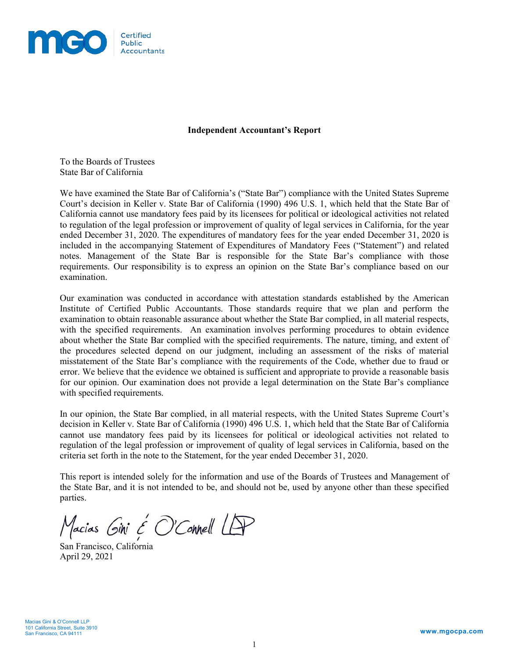

#### **Independent Accountant's Report**

To the Boards of Trustees State Bar of California

We have examined the State Bar of California's ("State Bar") compliance with the United States Supreme Court's decision in Keller v. State Bar of California (1990) 496 U.S. 1, which held that the State Bar of California cannot use mandatory fees paid by its licensees for political or ideological activities not related to regulation of the legal profession or improvement of quality of legal services in California, for the year ended December 31, 2020. The expenditures of mandatory fees for the year ended December 31, 2020 is included in the accompanying Statement of Expenditures of Mandatory Fees ("Statement") and related notes. Management of the State Bar is responsible for the State Bar's compliance with those requirements. Our responsibility is to express an opinion on the State Bar's compliance based on our examination.

Our examination was conducted in accordance with attestation standards established by the American Institute of Certified Public Accountants. Those standards require that we plan and perform the examination to obtain reasonable assurance about whether the State Bar complied, in all material respects, with the specified requirements. An examination involves performing procedures to obtain evidence about whether the State Bar complied with the specified requirements. The nature, timing, and extent of the procedures selected depend on our judgment, including an assessment of the risks of material misstatement of the State Bar's compliance with the requirements of the Code, whether due to fraud or error. We believe that the evidence we obtained is sufficient and appropriate to provide a reasonable basis for our opinion. Our examination does not provide a legal determination on the State Bar's compliance with specified requirements.

In our opinion, the State Bar complied, in all material respects, with the United States Supreme Court's decision in Keller v. State Bar of California (1990) 496 U.S. 1, which held that the State Bar of California cannot use mandatory fees paid by its licensees for political or ideological activities not related to regulation of the legal profession or improvement of quality of legal services in California, based on the criteria set forth in the note to the Statement, for the year ended December 31, 2020.

This report is intended solely for the information and use of the Boards of Trustees and Management of the State Bar, and it is not intended to be, and should not be, used by anyone other than these specified parties.

Macias Gini & O'Connell LAP

San Francisco, California April 29, 2021

Macias Gini & O'Connell LLP 101 California Street, Suite 3910 San Francisco, CA 94111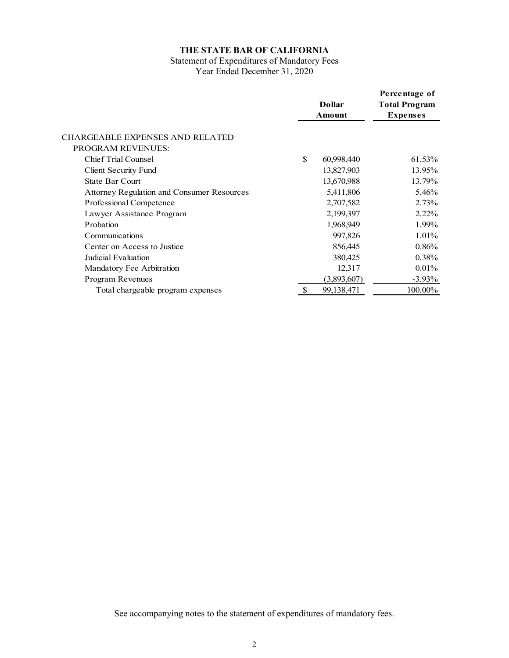# Statement of Expenditures of Mandatory Fees Year Ended December 31, 2020

|                                            | <b>Dollar</b><br>Amount |             | Percentage of<br><b>Total Program</b><br><b>Expenses</b> |  |
|--------------------------------------------|-------------------------|-------------|----------------------------------------------------------|--|
| CHARGEABLE EXPENSES AND RELATED            |                         |             |                                                          |  |
| <b>PROGRAM REVENUES:</b>                   |                         |             |                                                          |  |
| Chief Trial Counsel                        | \$                      | 60,998,440  | 61.53%                                                   |  |
| Client Security Fund                       |                         | 13,827,903  | 13.95%                                                   |  |
| <b>State Bar Court</b>                     |                         | 13,670,988  | 13.79%                                                   |  |
| Attorney Regulation and Consumer Resources |                         | 5,411,806   | 5.46%                                                    |  |
| Professional Competence                    |                         | 2,707,582   | 2.73%                                                    |  |
| Lawyer Assistance Program                  |                         | 2,199,397   | $2.22\%$                                                 |  |
| Probation                                  |                         | 1,968,949   | 1.99%                                                    |  |
| Communications                             |                         | 997,826     | $1.01\%$                                                 |  |
| Center on Access to Justice                |                         | 856,445     | 0.86%                                                    |  |
| Judicial Evaluation                        |                         | 380,425     | 0.38%                                                    |  |
| Mandatory Fee Arbitration                  |                         | 12,317      | $0.01\%$                                                 |  |
| Program Revenues                           |                         | (3,893,607) | $-3.93\%$                                                |  |
| Total chargeable program expenses          |                         | 99,138,471  | 100.00%                                                  |  |
|                                            |                         |             |                                                          |  |

See accompanying notes to the statement of expenditures of mandatory fees.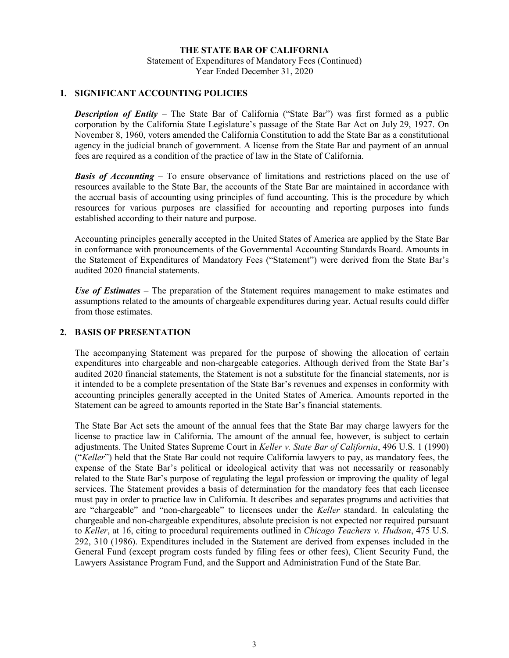Statement of Expenditures of Mandatory Fees (Continued) Year Ended December 31, 2020

## **1. SIGNIFICANT ACCOUNTING POLICIES**

**Description of Entity** – The State Bar of California ("State Bar") was first formed as a public corporation by the California State Legislature's passage of the State Bar Act on July 29, 1927. On November 8, 1960, voters amended the California Constitution to add the State Bar as a constitutional agency in the judicial branch of government. A license from the State Bar and payment of an annual fees are required as a condition of the practice of law in the State of California.

**Basis of Accounting –** To ensure observance of limitations and restrictions placed on the use of resources available to the State Bar, the accounts of the State Bar are maintained in accordance with the accrual basis of accounting using principles of fund accounting. This is the procedure by which resources for various purposes are classified for accounting and reporting purposes into funds established according to their nature and purpose.

Accounting principles generally accepted in the United States of America are applied by the State Bar in conformance with pronouncements of the Governmental Accounting Standards Board. Amounts in the Statement of Expenditures of Mandatory Fees ("Statement") were derived from the State Bar's audited 2020 financial statements.

*Use of Estimates* – The preparation of the Statement requires management to make estimates and assumptions related to the amounts of chargeable expenditures during year. Actual results could differ from those estimates.

#### **2. BASIS OF PRESENTATION**

The accompanying Statement was prepared for the purpose of showing the allocation of certain expenditures into chargeable and non-chargeable categories. Although derived from the State Bar's audited 2020 financial statements, the Statement is not a substitute for the financial statements, nor is it intended to be a complete presentation of the State Bar's revenues and expenses in conformity with accounting principles generally accepted in the United States of America. Amounts reported in the Statement can be agreed to amounts reported in the State Bar's financial statements.

The State Bar Act sets the amount of the annual fees that the State Bar may charge lawyers for the license to practice law in California. The amount of the annual fee, however, is subject to certain adjustments. The United States Supreme Court in *Keller v. State Bar of California*, 496 U.S. 1 (1990) ("*Keller*") held that the State Bar could not require California lawyers to pay, as mandatory fees, the expense of the State Bar's political or ideological activity that was not necessarily or reasonably related to the State Bar's purpose of regulating the legal profession or improving the quality of legal services. The Statement provides a basis of determination for the mandatory fees that each licensee must pay in order to practice law in California. It describes and separates programs and activities that are "chargeable" and "non-chargeable" to licensees under the *Keller* standard. In calculating the chargeable and non-chargeable expenditures, absolute precision is not expected nor required pursuant to *Keller*, at 16, citing to procedural requirements outlined in *Chicago Teachers v. Hudson*, 475 U.S. 292, 310 (1986). Expenditures included in the Statement are derived from expenses included in the General Fund (except program costs funded by filing fees or other fees), Client Security Fund, the Lawyers Assistance Program Fund, and the Support and Administration Fund of the State Bar.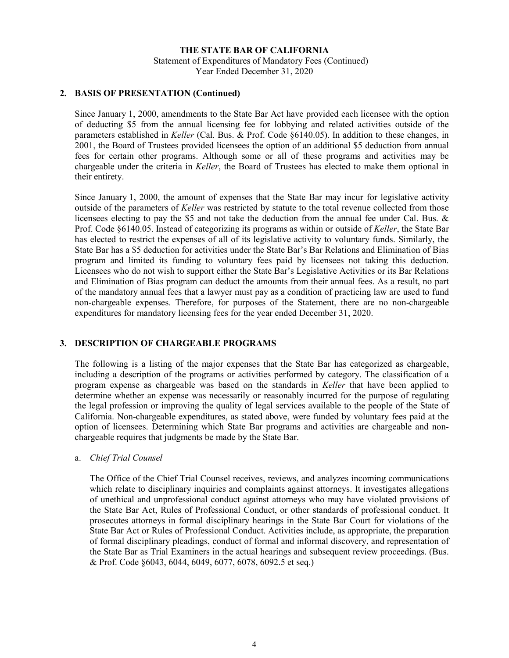Statement of Expenditures of Mandatory Fees (Continued) Year Ended December 31, 2020

## **2. BASIS OF PRESENTATION (Continued)**

Since January 1, 2000, amendments to the State Bar Act have provided each licensee with the option of deducting \$5 from the annual licensing fee for lobbying and related activities outside of the parameters established in *Keller* (Cal. Bus. & Prof. Code §6140.05). In addition to these changes, in 2001, the Board of Trustees provided licensees the option of an additional \$5 deduction from annual fees for certain other programs. Although some or all of these programs and activities may be chargeable under the criteria in *Keller*, the Board of Trustees has elected to make them optional in their entirety.

Since January 1, 2000, the amount of expenses that the State Bar may incur for legislative activity outside of the parameters of *Keller* was restricted by statute to the total revenue collected from those licensees electing to pay the \$5 and not take the deduction from the annual fee under Cal. Bus. & Prof. Code §6140.05. Instead of categorizing its programs as within or outside of *Keller*, the State Bar has elected to restrict the expenses of all of its legislative activity to voluntary funds. Similarly, the State Bar has a \$5 deduction for activities under the State Bar's Bar Relations and Elimination of Bias program and limited its funding to voluntary fees paid by licensees not taking this deduction. Licensees who do not wish to support either the State Bar's Legislative Activities or its Bar Relations and Elimination of Bias program can deduct the amounts from their annual fees. As a result, no part of the mandatory annual fees that a lawyer must pay as a condition of practicing law are used to fund non-chargeable expenses. Therefore, for purposes of the Statement, there are no non-chargeable expenditures for mandatory licensing fees for the year ended December 31, 2020.

## **3. DESCRIPTION OF CHARGEABLE PROGRAMS**

The following is a listing of the major expenses that the State Bar has categorized as chargeable, including a description of the programs or activities performed by category. The classification of a program expense as chargeable was based on the standards in *Keller* that have been applied to determine whether an expense was necessarily or reasonably incurred for the purpose of regulating the legal profession or improving the quality of legal services available to the people of the State of California. Non-chargeable expenditures, as stated above, were funded by voluntary fees paid at the option of licensees. Determining which State Bar programs and activities are chargeable and nonchargeable requires that judgments be made by the State Bar.

#### a. *Chief Trial Counsel*

The Office of the Chief Trial Counsel receives, reviews, and analyzes incoming communications which relate to disciplinary inquiries and complaints against attorneys. It investigates allegations of unethical and unprofessional conduct against attorneys who may have violated provisions of the State Bar Act, Rules of Professional Conduct, or other standards of professional conduct. It prosecutes attorneys in formal disciplinary hearings in the State Bar Court for violations of the State Bar Act or Rules of Professional Conduct. Activities include, as appropriate, the preparation of formal disciplinary pleadings, conduct of formal and informal discovery, and representation of the State Bar as Trial Examiners in the actual hearings and subsequent review proceedings. (Bus. & Prof. Code §6043, 6044, 6049, 6077, 6078, 6092.5 et seq.)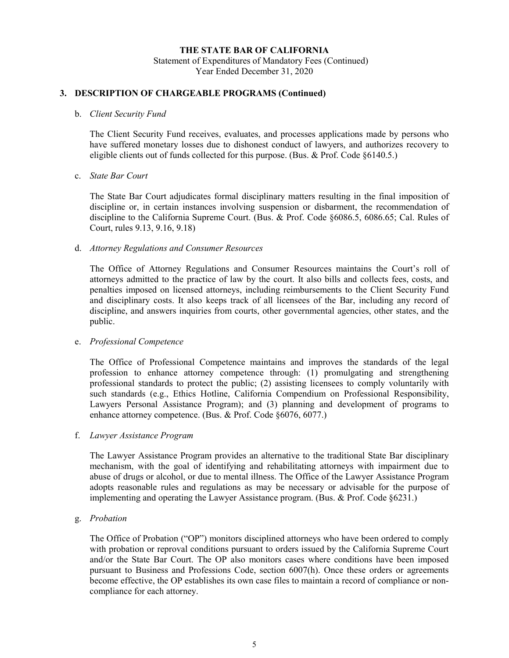Statement of Expenditures of Mandatory Fees (Continued) Year Ended December 31, 2020

# **3. DESCRIPTION OF CHARGEABLE PROGRAMS (Continued)**

#### b. *Client Security Fund*

The Client Security Fund receives, evaluates, and processes applications made by persons who have suffered monetary losses due to dishonest conduct of lawyers, and authorizes recovery to eligible clients out of funds collected for this purpose. (Bus. & Prof. Code §6140.5.)

#### c. *State Bar Court*

The State Bar Court adjudicates formal disciplinary matters resulting in the final imposition of discipline or, in certain instances involving suspension or disbarment, the recommendation of discipline to the California Supreme Court. (Bus. & Prof. Code §6086.5, 6086.65; Cal. Rules of Court, rules 9.13, 9.16, 9.18)

#### d. *Attorney Regulations and Consumer Resources*

The Office of Attorney Regulations and Consumer Resources maintains the Court's roll of attorneys admitted to the practice of law by the court. It also bills and collects fees, costs, and penalties imposed on licensed attorneys, including reimbursements to the Client Security Fund and disciplinary costs. It also keeps track of all licensees of the Bar, including any record of discipline, and answers inquiries from courts, other governmental agencies, other states, and the public.

#### e. *Professional Competence*

The Office of Professional Competence maintains and improves the standards of the legal profession to enhance attorney competence through: (1) promulgating and strengthening professional standards to protect the public; (2) assisting licensees to comply voluntarily with such standards (e.g., Ethics Hotline, California Compendium on Professional Responsibility, Lawyers Personal Assistance Program); and (3) planning and development of programs to enhance attorney competence. (Bus. & Prof. Code §6076, 6077.)

#### f. *Lawyer Assistance Program*

The Lawyer Assistance Program provides an alternative to the traditional State Bar disciplinary mechanism, with the goal of identifying and rehabilitating attorneys with impairment due to abuse of drugs or alcohol, or due to mental illness. The Office of the Lawyer Assistance Program adopts reasonable rules and regulations as may be necessary or advisable for the purpose of implementing and operating the Lawyer Assistance program. (Bus. & Prof. Code §6231.)

## g. *Probation*

The Office of Probation ("OP") monitors disciplined attorneys who have been ordered to comply with probation or reproval conditions pursuant to orders issued by the California Supreme Court and/or the State Bar Court. The OP also monitors cases where conditions have been imposed pursuant to Business and Professions Code, section 6007(h). Once these orders or agreements become effective, the OP establishes its own case files to maintain a record of compliance or noncompliance for each attorney.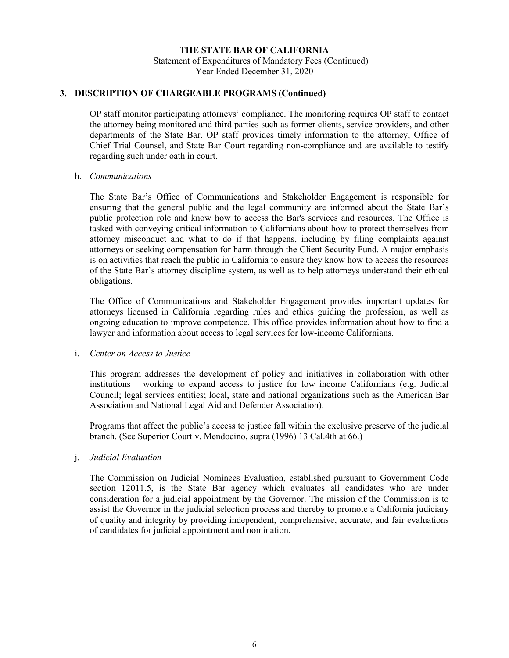Statement of Expenditures of Mandatory Fees (Continued) Year Ended December 31, 2020

# **3. DESCRIPTION OF CHARGEABLE PROGRAMS (Continued)**

OP staff monitor participating attorneys' compliance. The monitoring requires OP staff to contact the attorney being monitored and third parties such as former clients, service providers, and other departments of the State Bar. OP staff provides timely information to the attorney, Office of Chief Trial Counsel, and State Bar Court regarding non-compliance and are available to testify regarding such under oath in court.

#### h. *Communications*

The State Bar's Office of Communications and Stakeholder Engagement is responsible for ensuring that the general public and the legal community are informed about the State Bar's public protection role and know how to access the Bar's services and resources. The Office is tasked with conveying critical information to Californians about how to protect themselves from attorney misconduct and what to do if that happens, including by filing complaints against attorneys or seeking compensation for harm through the Client Security Fund. A major emphasis is on activities that reach the public in California to ensure they know how to access the resources of the State Bar's attorney discipline system, as well as to help attorneys understand their ethical obligations.

The Office of Communications and Stakeholder Engagement provides important updates for attorneys licensed in California regarding rules and ethics guiding the profession, as well as ongoing education to improve competence. This office provides information about how to find a lawyer and information about access to legal services for low-income Californians.

#### i. *Center on Access to Justice*

This program addresses the development of policy and initiatives in collaboration with other institutions working to expand access to justice for low income Californians (e.g. Judicial Council; legal services entities; local, state and national organizations such as the American Bar Association and National Legal Aid and Defender Association).

Programs that affect the public's access to justice fall within the exclusive preserve of the judicial branch. (See Superior Court v. Mendocino, supra (1996) 13 Cal.4th at 66.)

#### j. *Judicial Evaluation*

The Commission on Judicial Nominees Evaluation, established pursuant to Government Code section 12011.5, is the State Bar agency which evaluates all candidates who are under consideration for a judicial appointment by the Governor. The mission of the Commission is to assist the Governor in the judicial selection process and thereby to promote a California judiciary of quality and integrity by providing independent, comprehensive, accurate, and fair evaluations of candidates for judicial appointment and nomination.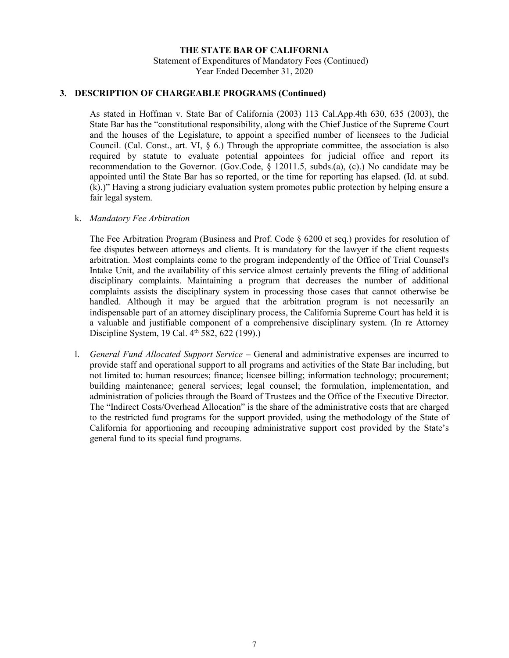Statement of Expenditures of Mandatory Fees (Continued) Year Ended December 31, 2020

#### **3. DESCRIPTION OF CHARGEABLE PROGRAMS (Continued)**

As stated in Hoffman v. State Bar of California (2003) 113 Cal.App.4th 630, 635 (2003), the State Bar has the "constitutional responsibility, along with the Chief Justice of the Supreme Court and the houses of the Legislature, to appoint a specified number of licensees to the Judicial Council. (Cal. Const., art. VI, § 6.) Through the appropriate committee, the association is also required by statute to evaluate potential appointees for judicial office and report its recommendation to the Governor. (Gov.Code, § 12011.5, subds.(a), (c).) No candidate may be appointed until the State Bar has so reported, or the time for reporting has elapsed. (Id. at subd. (k).)" Having a strong judiciary evaluation system promotes public protection by helping ensure a fair legal system.

#### k. *Mandatory Fee Arbitration*

The Fee Arbitration Program (Business and Prof. Code § 6200 et seq.) provides for resolution of fee disputes between attorneys and clients. It is mandatory for the lawyer if the client requests arbitration. Most complaints come to the program independently of the Office of Trial Counsel's Intake Unit, and the availability of this service almost certainly prevents the filing of additional disciplinary complaints. Maintaining a program that decreases the number of additional complaints assists the disciplinary system in processing those cases that cannot otherwise be handled. Although it may be argued that the arbitration program is not necessarily an indispensable part of an attorney disciplinary process, the California Supreme Court has held it is a valuable and justifiable component of a comprehensive disciplinary system. (In re Attorney Discipline System, 19 Cal. 4<sup>th</sup> 582, 622 (199).)

l. *General Fund Allocated Support Service* **–** General and administrative expenses are incurred to provide staff and operational support to all programs and activities of the State Bar including, but not limited to: human resources; finance; licensee billing; information technology; procurement; building maintenance; general services; legal counsel; the formulation, implementation, and administration of policies through the Board of Trustees and the Office of the Executive Director. The "Indirect Costs/Overhead Allocation" is the share of the administrative costs that are charged to the restricted fund programs for the support provided, using the methodology of the State of California for apportioning and recouping administrative support cost provided by the State's general fund to its special fund programs.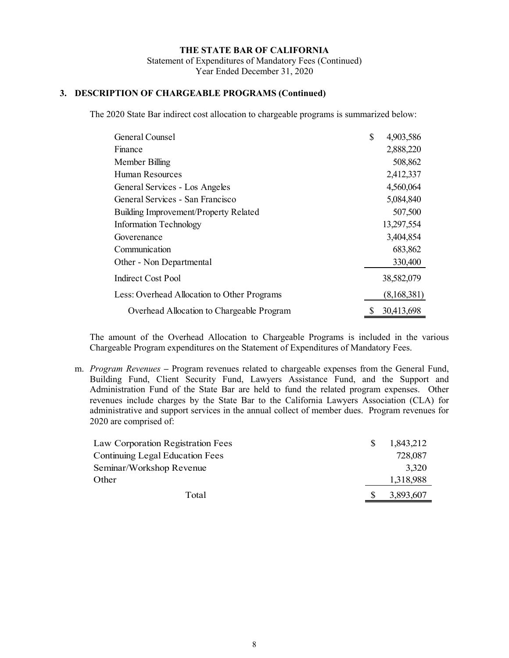# **3. DESCRIPTION OF CHARGEABLE PROGRAMS (Continued)**

The 2020 State Bar indirect cost allocation to chargeable programs is summarized below:

| General Counsel                             | \$ | 4,903,586   |
|---------------------------------------------|----|-------------|
| Finance                                     |    | 2,888,220   |
| Member Billing                              |    | 508,862     |
| Human Resources                             |    | 2,412,337   |
| General Services - Los Angeles              |    | 4,560,064   |
| General Services - San Francisco            |    | 5,084,840   |
| Building Improvement/Property Related       |    | 507,500     |
| Information Technology                      |    | 13,297,554  |
| Goverenance                                 |    | 3,404,854   |
| Communication                               |    | 683,862     |
| Other - Non Departmental                    |    | 330,400     |
| Indirect Cost Pool                          |    | 38,582,079  |
| Less: Overhead Allocation to Other Programs |    | (8,168,381) |
| Overhead Allocation to Chargeable Program   | S  | 30,413,698  |

The amount of the Overhead Allocation to Chargeable Programs is included in the various Chargeable Program expenditures on the Statement of Expenditures of Mandatory Fees.

m. *Program Revenues* **–** Program revenues related to chargeable expenses from the General Fund, Building Fund, Client Security Fund, Lawyers Assistance Fund, and the Support and Administration Fund of the State Bar are held to fund the related program expenses. Other revenues include charges by the State Bar to the California Lawyers Association (CLA) for administrative and support services in the annual collect of member dues. Program revenues for 2020 are comprised of:

| Total                             | 3,893,607 |
|-----------------------------------|-----------|
| Other                             | 1,318,988 |
| Seminar/Workshop Revenue          | 3,320     |
| Continuing Legal Education Fees   | 728,087   |
| Law Corporation Registration Fees | 1,843,212 |